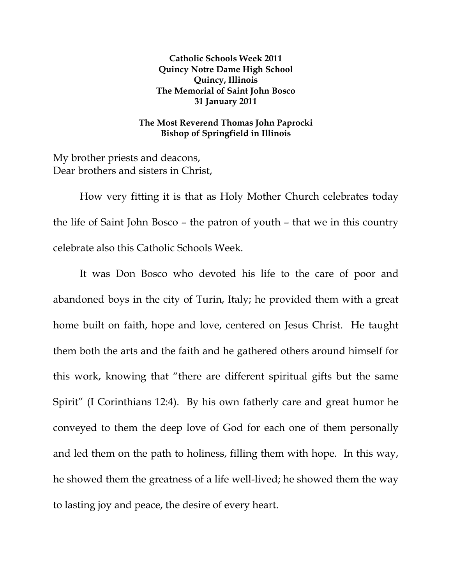**Catholic Schools Week 2011 Quincy Notre Dame High School Quincy, Illinois The Memorial of Saint John Bosco 31 January 2011** 

## **The Most Reverend Thomas John Paprocki Bishop of Springfield in Illinois**

My brother priests and deacons, Dear brothers and sisters in Christ,

 How very fitting it is that as Holy Mother Church celebrates today the life of Saint John Bosco – the patron of youth – that we in this country celebrate also this Catholic Schools Week.

It was Don Bosco who devoted his life to the care of poor and abandoned boys in the city of Turin, Italy; he provided them with a great home built on faith, hope and love, centered on Jesus Christ. He taught them both the arts and the faith and he gathered others around himself for this work, knowing that "there are different spiritual gifts but the same Spirit" (I Corinthians 12:4). By his own fatherly care and great humor he conveyed to them the deep love of God for each one of them personally and led them on the path to holiness, filling them with hope. In this way, he showed them the greatness of a life well-lived; he showed them the way to lasting joy and peace, the desire of every heart.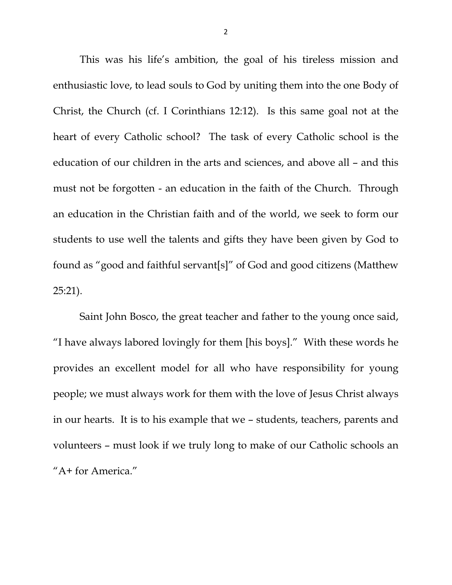This was his life's ambition, the goal of his tireless mission and enthusiastic love, to lead souls to God by uniting them into the one Body of Christ, the Church (cf. I Corinthians 12:12). Is this same goal not at the heart of every Catholic school? The task of every Catholic school is the education of our children in the arts and sciences, and above all – and this must not be forgotten - an education in the faith of the Church. Through an education in the Christian faith and of the world, we seek to form our students to use well the talents and gifts they have been given by God to found as "good and faithful servant[s]" of God and good citizens (Matthew 25:21).

 Saint John Bosco, the great teacher and father to the young once said, "I have always labored lovingly for them [his boys]." With these words he provides an excellent model for all who have responsibility for young people; we must always work for them with the love of Jesus Christ always in our hearts. It is to his example that we – students, teachers, parents and volunteers – must look if we truly long to make of our Catholic schools an "A+ for America."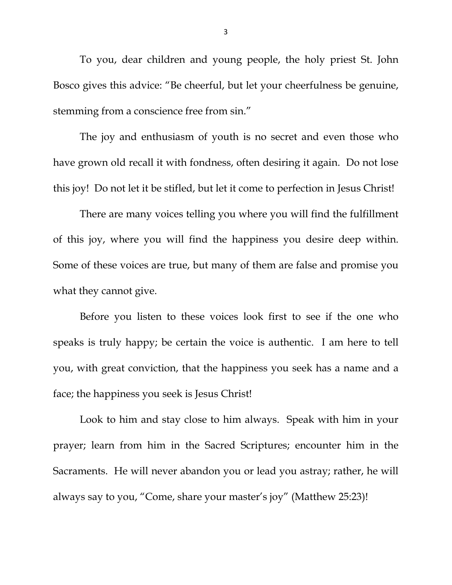To you, dear children and young people, the holy priest St. John Bosco gives this advice: "Be cheerful, but let your cheerfulness be genuine, stemming from a conscience free from sin."

 The joy and enthusiasm of youth is no secret and even those who have grown old recall it with fondness, often desiring it again. Do not lose this joy! Do not let it be stifled, but let it come to perfection in Jesus Christ!

 There are many voices telling you where you will find the fulfillment of this joy, where you will find the happiness you desire deep within. Some of these voices are true, but many of them are false and promise you what they cannot give.

 Before you listen to these voices look first to see if the one who speaks is truly happy; be certain the voice is authentic. I am here to tell you, with great conviction, that the happiness you seek has a name and a face; the happiness you seek is Jesus Christ!

 Look to him and stay close to him always. Speak with him in your prayer; learn from him in the Sacred Scriptures; encounter him in the Sacraments. He will never abandon you or lead you astray; rather, he will always say to you, "Come, share your master's joy" (Matthew 25:23)!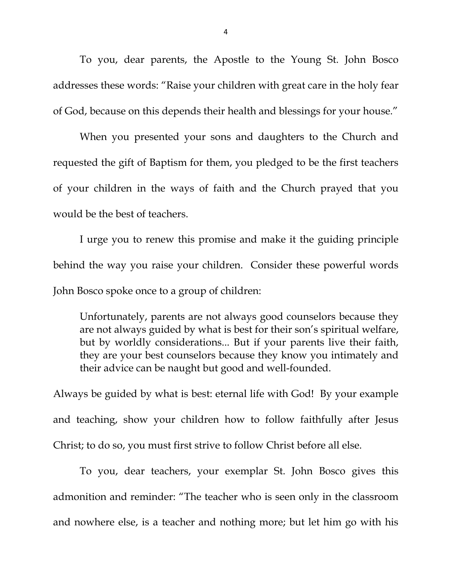To you, dear parents, the Apostle to the Young St. John Bosco addresses these words: "Raise your children with great care in the holy fear of God, because on this depends their health and blessings for your house."

 When you presented your sons and daughters to the Church and requested the gift of Baptism for them, you pledged to be the first teachers of your children in the ways of faith and the Church prayed that you would be the best of teachers.

 I urge you to renew this promise and make it the guiding principle behind the way you raise your children. Consider these powerful words John Bosco spoke once to a group of children:

Unfortunately, parents are not always good counselors because they are not always guided by what is best for their son's spiritual welfare, but by worldly considerations... But if your parents live their faith, they are your best counselors because they know you intimately and their advice can be naught but good and well-founded.

Always be guided by what is best: eternal life with God! By your example and teaching, show your children how to follow faithfully after Jesus Christ; to do so, you must first strive to follow Christ before all else.

 To you, dear teachers, your exemplar St. John Bosco gives this admonition and reminder: "The teacher who is seen only in the classroom and nowhere else, is a teacher and nothing more; but let him go with his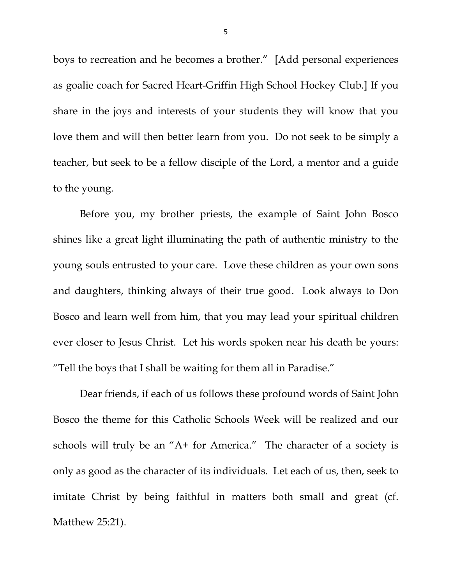boys to recreation and he becomes a brother." [Add personal experiences as goalie coach for Sacred Heart-Griffin High School Hockey Club.] If you share in the joys and interests of your students they will know that you love them and will then better learn from you. Do not seek to be simply a teacher, but seek to be a fellow disciple of the Lord, a mentor and a guide to the young.

 Before you, my brother priests, the example of Saint John Bosco shines like a great light illuminating the path of authentic ministry to the young souls entrusted to your care. Love these children as your own sons and daughters, thinking always of their true good. Look always to Don Bosco and learn well from him, that you may lead your spiritual children ever closer to Jesus Christ. Let his words spoken near his death be yours: "Tell the boys that I shall be waiting for them all in Paradise."

 Dear friends, if each of us follows these profound words of Saint John Bosco the theme for this Catholic Schools Week will be realized and our schools will truly be an "A+ for America." The character of a society is only as good as the character of its individuals. Let each of us, then, seek to imitate Christ by being faithful in matters both small and great (cf. Matthew 25:21).